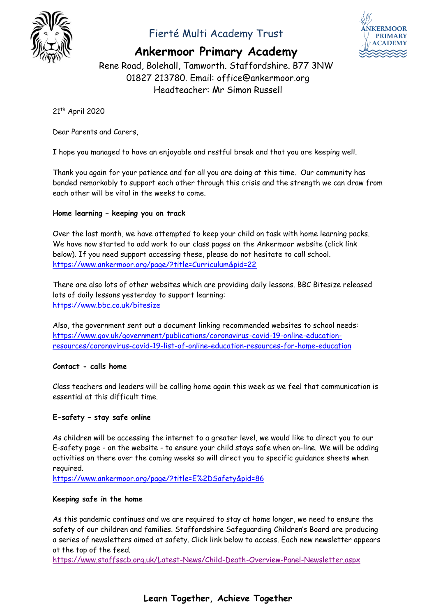

# Fierté Multi Academy Trust



**Ankermoor Primary Academy**

Rene Road, Bolehall, Tamworth. Staffordshire. B77 3NW 01827 213780. Email: office@ankermoor.org Headteacher: Mr Simon Russell

21th April 2020

Dear Parents and Carers,

I hope you managed to have an enjoyable and restful break and that you are keeping well.

Thank you again for your patience and for all you are doing at this time. Our community has bonded remarkably to support each other through this crisis and the strength we can draw from each other will be vital in the weeks to come.

# **Home learning – keeping you on track**

Over the last month, we have attempted to keep your child on task with home learning packs. We have now started to add work to our class pages on the Ankermoor website (click link below). If you need support accessing these, please do not hesitate to call school. <https://www.ankermoor.org/page/?title=Curriculum&pid=22>

There are also lots of other websites which are providing daily lessons. BBC Bitesize released lots of daily lessons yesterday to support learning: <https://www.bbc.co.uk/bitesize>

Also, the government sent out a document linking recommended websites to school needs: [https://www.gov.uk/government/publications/coronavirus-covid-19-online-education](https://www.gov.uk/government/publications/coronavirus-covid-19-online-education-resources/coronavirus-covid-19-list-of-online-education-resources-for-home-education)[resources/coronavirus-covid-19-list-of-online-education-resources-for-home-education](https://www.gov.uk/government/publications/coronavirus-covid-19-online-education-resources/coronavirus-covid-19-list-of-online-education-resources-for-home-education)

### **Contact - calls home**

Class teachers and leaders will be calling home again this week as we feel that communication is essential at this difficult time.

### **E-safety – stay safe online**

As children will be accessing the internet to a greater level, we would like to direct you to our E-safety page - on the website - to ensure your child stays safe when on-line. We will be adding activities on there over the coming weeks so will direct you to specific guidance sheets when required.

<https://www.ankermoor.org/page/?title=E%2DSafety&pid=86>

### **Keeping safe in the home**

As this pandemic continues and we are required to stay at home longer, we need to ensure the safety of our children and families. Staffordshire Safeguarding Children's Board are producing a series of newsletters aimed at safety. Click link below to access. Each new newsletter appears at the top of the feed.

<https://www.staffsscb.org.uk/Latest-News/Child-Death-Overview-Panel-Newsletter.aspx>

# **Learn Together, Achieve Together**